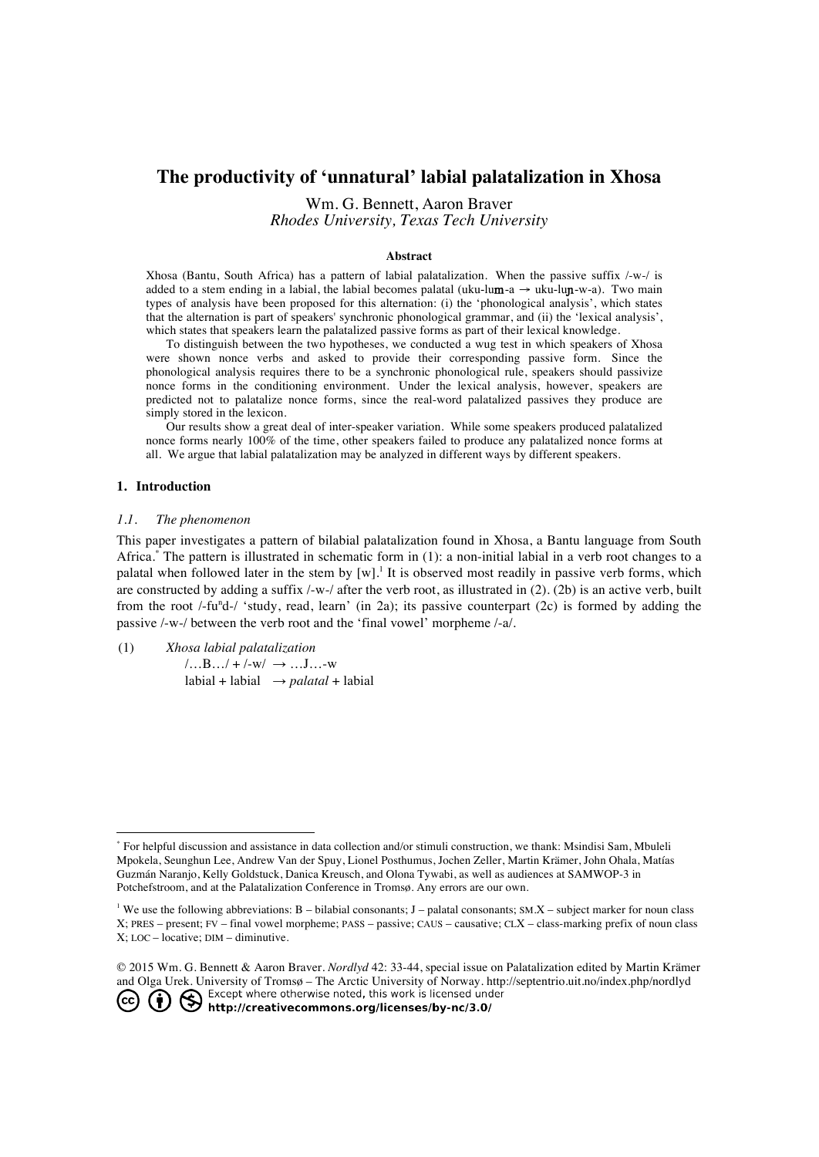# **The productivity of 'unnatural' labial palatalization in Xhosa**

Wm. G. Bennett, Aaron Braver *Rhodes University, Texas Tech University*

#### **Abstract**

Xhosa (Bantu, South Africa) has a pattern of labial palatalization. When the passive suffix /-w-/ is added to a stem ending in a labial, the labial becomes palatal (uku-lum-a  $\rightarrow$  uku-lum-w-a). Two main types of analysis have been proposed for this alternation: (i) the 'phonological analysis', which states that the alternation is part of speakers' synchronic phonological grammar, and (ii) the 'lexical analysis', which states that speakers learn the palatalized passive forms as part of their lexical knowledge.

To distinguish between the two hypotheses, we conducted a wug test in which speakers of Xhosa were shown nonce verbs and asked to provide their corresponding passive form. Since the phonological analysis requires there to be a synchronic phonological rule, speakers should passivize nonce forms in the conditioning environment. Under the lexical analysis, however, speakers are predicted not to palatalize nonce forms, since the real-word palatalized passives they produce are simply stored in the lexicon.

Our results show a great deal of inter-speaker variation. While some speakers produced palatalized nonce forms nearly 100% of the time, other speakers failed to produce any palatalized nonce forms at all. We argue that labial palatalization may be analyzed in different ways by different speakers.

### **1. Introduction**

### *1.1. The phenomenon*

This paper investigates a pattern of bilabial palatalization found in Xhosa, a Bantu language from South Africa.\* The pattern is illustrated in schematic form in (1): a non-initial labial in a verb root changes to a palatal when followed later in the stem by  $[w]$ .<sup>1</sup> It is observed most readily in passive verb forms, which are constructed by adding a suffix  $/$ -w- $/$  after the verb root, as illustrated in (2). (2b) is an active verb, built from the root /-fu<sup>n</sup>d-/ 'study, read, learn' (in 2a); its passive counterpart (2c) is formed by adding the passive /-w-/ between the verb root and the 'final vowel' morpheme /-a/.

(1) *Xhosa labial palatalization*  $/$ …B…/ + /-w/  $\rightarrow$  …J…-w labial + labial → *palatal* + labial

 <sup>\*</sup> For helpful discussion and assistance in data collection and/or stimuli construction, we thank: Msindisi Sam, Mbuleli Mpokela, Seunghun Lee, Andrew Van der Spuy, Lionel Posthumus, Jochen Zeller, Martin Krämer, John Ohala, Matías Guzmán Naranjo, Kelly Goldstuck, Danica Kreusch, and Olona Tywabi, as well as audiences at SAMWOP-3 in Potchefstroom, and at the Palatalization Conference in Tromsø. Any errors are our own.

<sup>&</sup>lt;sup>1</sup> We use the following abbreviations: B – bilabial consonants; J – palatal consonants; SM.X – subject marker for noun class X; PRES – present; FV – final vowel morpheme; PASS – passive; CAUS – causative; CLX – class-marking prefix of noun class X; LOC – locative; DIM – diminutive.

<sup>©</sup> 2015 Wm. G. Bennett & Aaron Braver. *Nordlyd* 42: 33-44, special issue on Palatalization edited by Martin Krämer and Olga Urek. University of Tromsø – The Arctic University of Norway. http://septentrio.uit.no/index.php/nordlyd<br> **CC**  $\bigodot$   $\bigodot$  Except where otherwise noted, this work is licensed under<br> **CC**  $\bigodot$  **CC**  $\bigodot$  **http**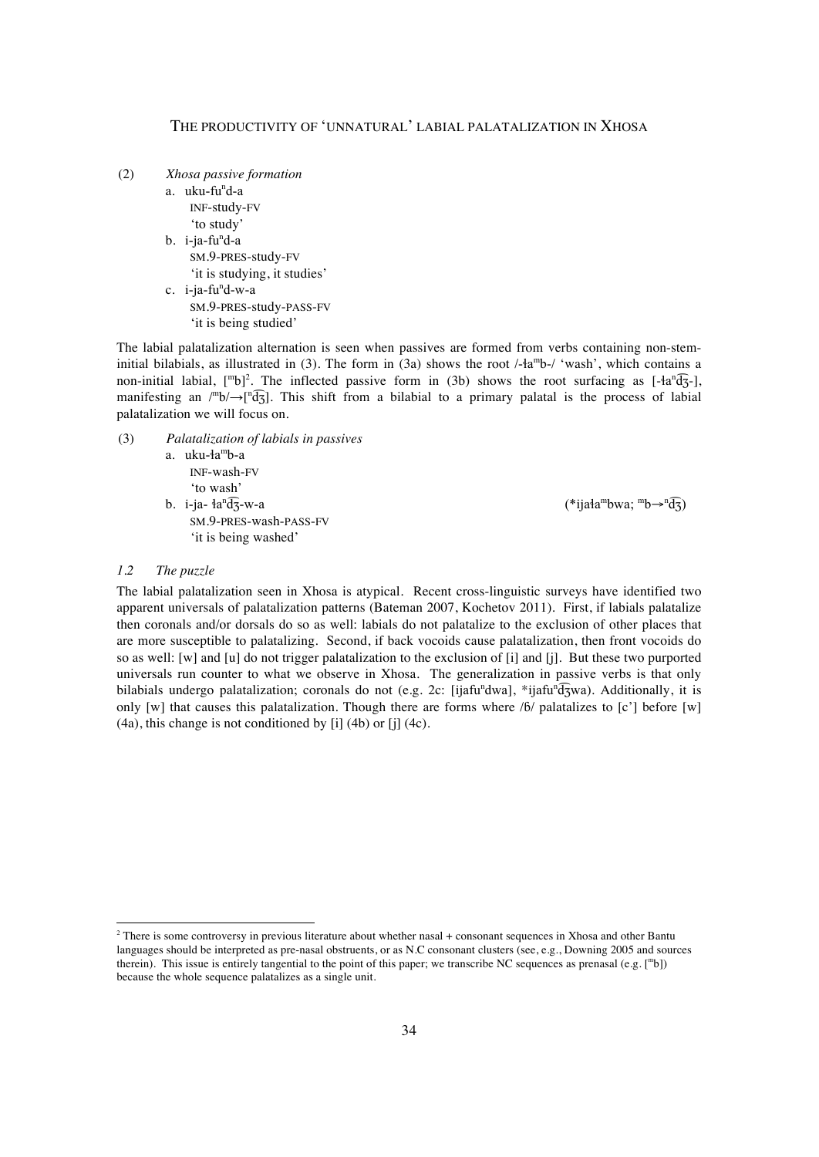- (2) *Xhosa passive formation*
	- a. uku-fu<sup>n</sup>d-a INF-study-FV 'to study'
	- b. i-ja-fu<sup>n</sup>d-a SM.9-PRES-study-FV 'it is studying, it studies'
	- c. i-ja-fu<sup>n</sup>d-w-a SM.9-PRES-study-PASS-FV 'it is being studied'

The labial palatalization alternation is seen when passives are formed from verbs containing non-steminitial bilabials, as illustrated in (3). The form in (3a) shows the root  $/4a^m$ b- $/$  'wash', which contains a non-initial labial,  $[\text{m}b]^2$ . The inflected passive form in (3b) shows the root surfacing as  $[-\text{tan}^2\theta_3]$ , manifesting an  $\ell^m b \rightarrow \ell^n \overline{d_3}$ . This shift from a bilabial to a primary palatal is the process of labial palatalization we will focus on.

- (3) *Palatalization of labials in passives*
	- a. uku-ɬamb-a INF-wash-FV 'to wash' b. i-ja- $a^n\widehat{d}$ 3-w-a
		- SM.9-PRES-wash-PASS-FV 'it is being washed'

 $\widehat{d}_3$ -w-a (\*ijała<sup>m</sup>bwa; mb→n $\widehat{d}_3$ )

# *1.2 The puzzle*

The labial palatalization seen in Xhosa is atypical. Recent cross-linguistic surveys have identified two apparent universals of palatalization patterns (Bateman 2007, Kochetov 2011). First, if labials palatalize then coronals and/or dorsals do so as well: labials do not palatalize to the exclusion of other places that are more susceptible to palatalizing. Second, if back vocoids cause palatalization, then front vocoids do so as well: [w] and [u] do not trigger palatalization to the exclusion of [i] and [j]. But these two purported universals run counter to what we observe in Xhosa. The generalization in passive verbs is that only bilabials undergo palatalization; coronals do not (e.g. 2c: [ijafu<sup>n</sup>dwa], \*ijafu<sup>n</sup>d3wa). Additionally, it is only [w] that causes this palatalization. Though there are forms where  $\beta/$  palatalizes to [c'] before [w]  $(4a)$ , this change is not conditioned by [i]  $(4b)$  or [i]  $(4c)$ .

<sup>&</sup>lt;sup>2</sup> There is some controversy in previous literature about whether nasal + consonant sequences in Xhosa and other Bantu languages should be interpreted as pre-nasal obstruents, or as N.C consonant clusters (see, e.g., Downing 2005 and sources therein). This issue is entirely tangential to the point of this paper; we transcribe NC sequences as prenasal (e.g. [mb]) because the whole sequence palatalizes as a single unit.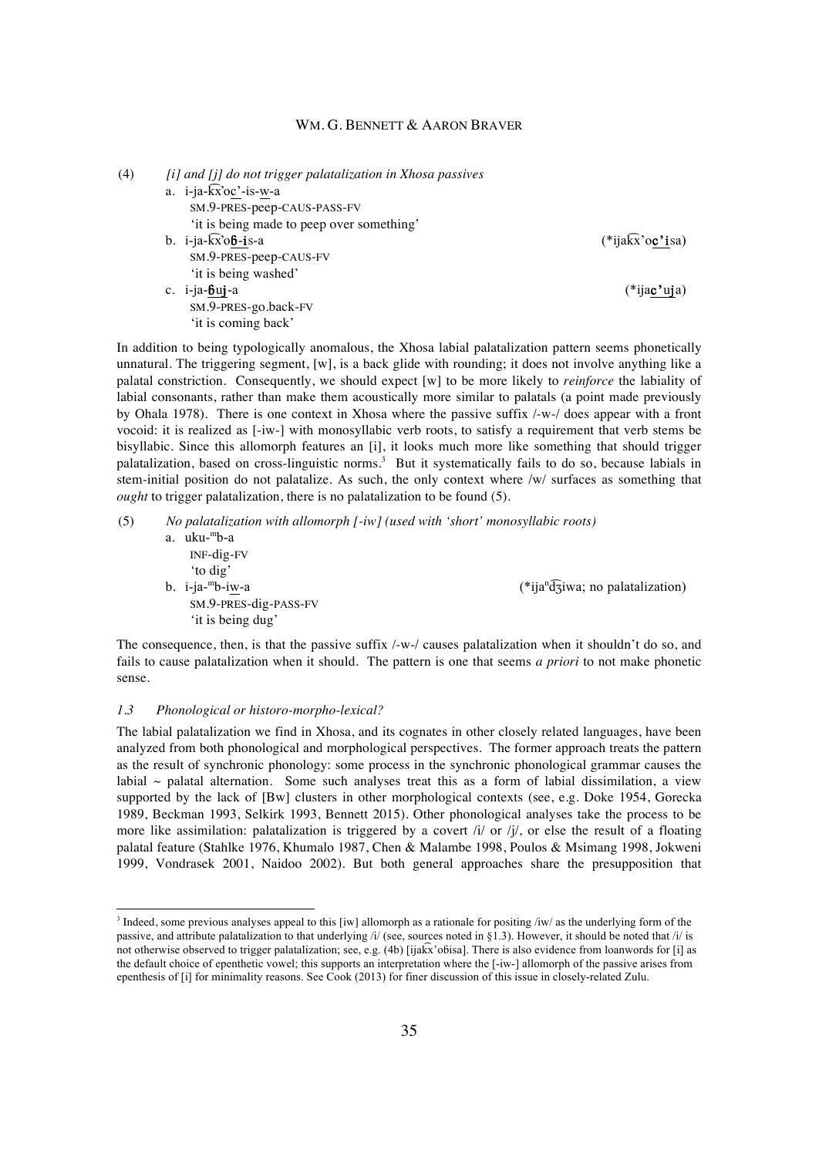| (4) | [i] and [j] do not trigger palatalization in Xhosa passives |                             |
|-----|-------------------------------------------------------------|-----------------------------|
|     | a. $i$ -ja- $kx$ 'oc'-is-w-a                                |                             |
|     | SM.9-PRES-peep-CAUS-PASS-FV                                 |                             |
|     | 'it is being made to peep over something'                   |                             |
|     | b. $i$ -ja- $kx$ 'ob-is-a                                   | $(*iia\widehat{k}x'oc'isa)$ |
|     | SM.9-PRES-peep-CAUS-FV                                      |                             |
|     | 'it is being washed'                                        |                             |
|     | c. $i$ -ja-buj-a                                            | (*ija <b>c'uj</b> a)        |
|     | SM.9-PRES-go.back-FV                                        |                             |
|     | 'it is coming back'                                         |                             |

In addition to being typologically anomalous, the Xhosa labial palatalization pattern seems phonetically unnatural. The triggering segment,  $[w]$ , is a back glide with rounding; it does not involve anything like a palatal constriction. Consequently, we should expect [w] to be more likely to *reinforce* the labiality of labial consonants, rather than make them acoustically more similar to palatals (a point made previously by Ohala 1978). There is one context in Xhosa where the passive suffix /-w-/ does appear with a front vocoid: it is realized as [-iw-] with monosyllabic verb roots, to satisfy a requirement that verb stems be bisyllabic. Since this allomorph features an [i], it looks much more like something that should trigger palatalization, based on cross-linguistic norms.<sup>3</sup> But it systematically fails to do so, because labials in stem-initial position do not palatalize. As such, the only context where /w/ surfaces as something that *ought* to trigger palatalization, there is no palatalization to be found (5).

| (5) | No palatalization with allomorph $\lceil -i w \rceil$ (used with 'short' monosyllabic roots) |                                                                                                                 |  |  |  |
|-----|----------------------------------------------------------------------------------------------|-----------------------------------------------------------------------------------------------------------------|--|--|--|
|     | uku- <sup>m</sup> b-a<br>a.                                                                  |                                                                                                                 |  |  |  |
|     | $INF-dig-FV$                                                                                 |                                                                                                                 |  |  |  |
|     | 'to dig'                                                                                     |                                                                                                                 |  |  |  |
|     | b. $i$ -ja- $mb$ -iw-a                                                                       | $(*ijan \overline{d} \overline{3}$ iwa; no palatalization)                                                      |  |  |  |
|     | SM.9-PRES-dig-PASS-FV                                                                        |                                                                                                                 |  |  |  |
|     | 'it is being dug'                                                                            |                                                                                                                 |  |  |  |
|     |                                                                                              | The concording of their tother the acceleration of the formation of reflection and said the design of the compo |  |  |  |

The consequence, then, is that the passive suffix /-w-/ causes palatalization when it shouldn't do so, and fails to cause palatalization when it should. The pattern is one that seems *a priori* to not make phonetic sense.

### *1.3 Phonological or historo-morpho-lexical?*

The labial palatalization we find in Xhosa, and its cognates in other closely related languages, have been analyzed from both phonological and morphological perspectives. The former approach treats the pattern as the result of synchronic phonology: some process in the synchronic phonological grammar causes the labial  $\sim$  palatal alternation. Some such analyses treat this as a form of labial dissimilation, a view supported by the lack of [Bw] clusters in other morphological contexts (see, e.g. Doke 1954, Gorecka 1989, Beckman 1993, Selkirk 1993, Bennett 2015). Other phonological analyses take the process to be more like assimilation: palatalization is triggered by a covert  $/i$  or  $/j$ , or else the result of a floating palatal feature (Stahlke 1976, Khumalo 1987, Chen & Malambe 1998, Poulos & Msimang 1998, Jokweni 1999, Vondrasek 2001, Naidoo 2002). But both general approaches share the presupposition that

<sup>&</sup>lt;sup>3</sup> Indeed, some previous analyses appeal to this [iw] allomorph as a rationale for positing /iw/ as the underlying form of the passive, and attribute palatalization to that underlying /i/ (see, sources noted in §1.3). However, it should be noted that /i/ is not otherwise observed to trigger palatalization; see, e.g. (4b) [ijak ͡x'oɓisa]. There is also evidence from loanwords for [i] as the default choice of epenthetic vowel; this supports an interpretation where the [-iw-] allomorph of the passive arises from epenthesis of [i] for minimality reasons. See Cook (2013) for finer discussion of this issue in closely-related Zulu.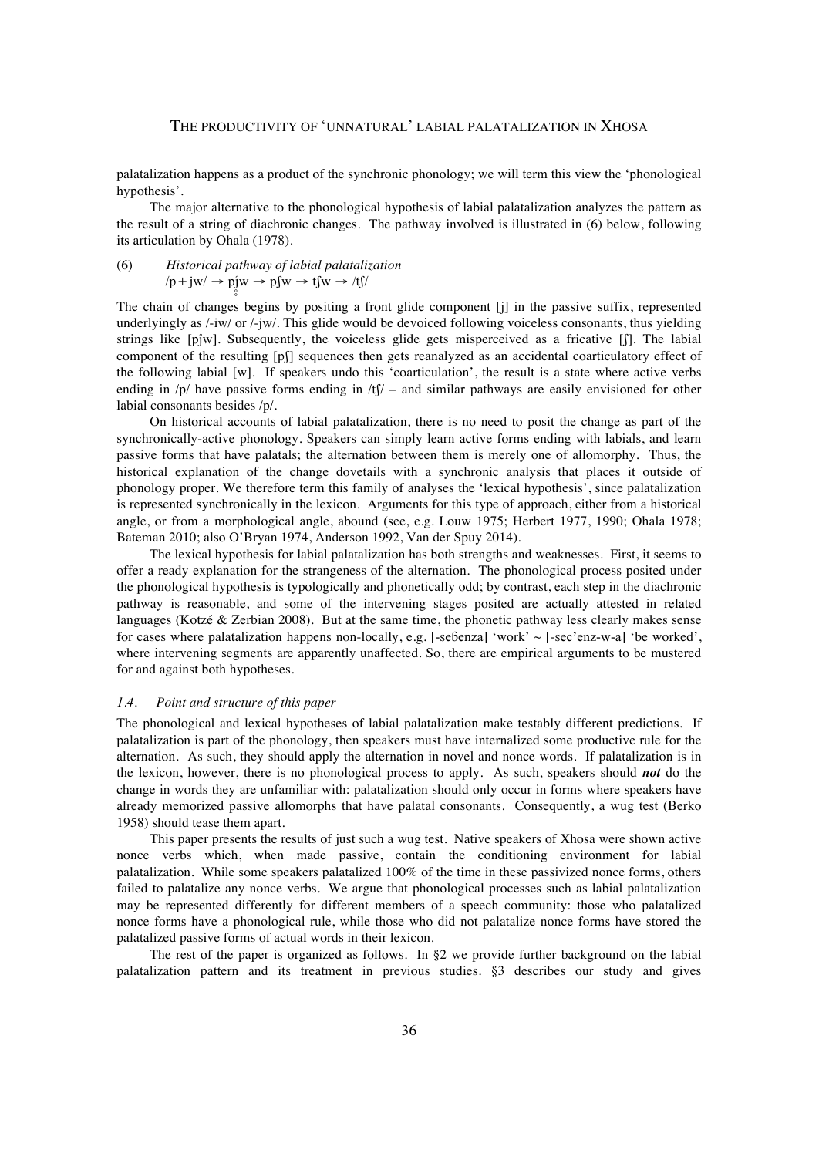palatalization happens as a product of the synchronic phonology; we will term this view the 'phonological hypothesis'.

The major alternative to the phonological hypothesis of labial palatalization analyzes the pattern as the result of a string of diachronic changes. The pathway involved is illustrated in (6) below, following its articulation by Ohala (1978).

(6) Historical pathway of labial palatalization  
\n
$$
\langle p + jw \rangle \rightarrow p_j^*w \rightarrow p_j^*w \rightarrow t_j^*w \rightarrow t_j^*y \rightarrow t_j^*y \rightarrow t_j^*y \rightarrow t_j^*y \rightarrow t_j^*y \rightarrow t_j^*y \rightarrow t_j^*y \rightarrow t_j^*y \rightarrow t_j^*y \rightarrow t_j^*y \rightarrow t_j^*y \rightarrow t_j^*y \rightarrow t_j^*y \rightarrow t_j^*y \rightarrow t_j^*y \rightarrow t_j^*y \rightarrow t_j^*y \rightarrow t_j^*y \rightarrow t_j^*y \rightarrow t_j^*y \rightarrow t_j^*y \rightarrow t_j^*y \rightarrow t_j^*y \rightarrow t_j^*y \rightarrow t_j^*y \rightarrow t_j^*y \rightarrow t_j^*y \rightarrow t_j^*y \rightarrow t_j^*y \rightarrow t_j^*y \rightarrow t_j^*y \rightarrow t_j^*y \rightarrow t_j^*y \rightarrow t_j^*y \rightarrow t_j^*y \rightarrow t_j^*y \rightarrow t_j^*y \rightarrow t_j^*y \rightarrow t_j^*y \rightarrow t_j^*y \rightarrow t_j^*y \rightarrow t_j^*y \rightarrow t_j^*y \rightarrow t_j^*y \rightarrow t_j^*y \rightarrow t_j^*y \rightarrow t_j^*y \rightarrow t_j^*y \rightarrow t_j^*y \rightarrow t_j^*y \rightarrow t_j^*y \rightarrow t_j^*y \rightarrow t_j^*y \rightarrow t_j^*y \rightarrow t_j^*y \rightarrow t_j^*y \rightarrow t_j^*y \rightarrow t_j^*y \rightarrow t_j^*y \rightarrow t_j^*y \rightarrow t_j^*y \rightarrow t_j^*y \rightarrow t_j^*y \rightarrow t_j^*y \rightarrow t_j^*y \rightarrow t_j^*y \rightarrow t_j^*y \rightarrow t_j^*y \rightarrow t_j^*y \rightarrow t_j^*y \rightarrow t_j^*y \rightarrow t_j^*y \rightarrow t_j^*y \rightarrow t_j^*y \rightarrow t_j^*y \rightarrow t_j^*y \rightarrow t_j^*y \rightarrow t_j^*y \rightarrow t_j^*y \rightarrow t_j^*y \rightarrow t_j^*y \rightarrow t_j^*y \rightarrow t_j^*y \rightarrow t_j^*y \rightarrow t_j^*y \rightarrow t_j^*y \rightarrow t_j^*y \rightarrow t_j^*y \rightarrow t_j^*y \rightarrow t_j^*y \rightarrow t_j^*y \rightarrow t_j^*y \rightarrow t_j^*y \rightarrow t_j^*y \rightarrow t_j^*y \rightarrow t_j^*y \rightarrow t_j^*y \rightarrow t_j^*y \rightarrow t_j^*y \rightarrow t_j^*y \rightarrow t_j^*y \rightarrow t_j^*y \rightarrow t
$$

The chain of changes begins by positing a front glide component [j] in the passive suffix, represented underlyingly as /-iw/ or /-jw/. This glide would be devoiced following voiceless consonants, thus yielding strings like [pjw]. Subsequently, the voiceless glide gets misperceived as a fricative [f]. The labial component of the resulting [pʃ] sequences then gets reanalyzed as an accidental coarticulatory effect of the following labial [w]. If speakers undo this 'coarticulation', the result is a state where active verbs ending in  $/p$  have passive forms ending in  $/t\gamma$  – and similar pathways are easily envisioned for other labial consonants besides /p/.

On historical accounts of labial palatalization, there is no need to posit the change as part of the synchronically-active phonology. Speakers can simply learn active forms ending with labials, and learn passive forms that have palatals; the alternation between them is merely one of allomorphy. Thus, the historical explanation of the change dovetails with a synchronic analysis that places it outside of phonology proper. We therefore term this family of analyses the 'lexical hypothesis', since palatalization is represented synchronically in the lexicon. Arguments for this type of approach, either from a historical angle, or from a morphological angle, abound (see, e.g. Louw 1975; Herbert 1977, 1990; Ohala 1978; Bateman 2010; also O'Bryan 1974, Anderson 1992, Van der Spuy 2014).

The lexical hypothesis for labial palatalization has both strengths and weaknesses. First, it seems to offer a ready explanation for the strangeness of the alternation. The phonological process posited under the phonological hypothesis is typologically and phonetically odd; by contrast, each step in the diachronic pathway is reasonable, and some of the intervening stages posited are actually attested in related languages (Kotzé & Zerbian 2008). But at the same time, the phonetic pathway less clearly makes sense for cases where palatalization happens non-locally, e.g.  $[-\text{se\&enza}]$  'work'  $\sim [-\text{sec}\text{?env-a}]$  'be worked', where intervening segments are apparently unaffected. So, there are empirical arguments to be mustered for and against both hypotheses.

### *1.4. Point and structure of this paper*

The phonological and lexical hypotheses of labial palatalization make testably different predictions. If palatalization is part of the phonology, then speakers must have internalized some productive rule for the alternation. As such, they should apply the alternation in novel and nonce words. If palatalization is in the lexicon, however, there is no phonological process to apply. As such, speakers should *not* do the change in words they are unfamiliar with: palatalization should only occur in forms where speakers have already memorized passive allomorphs that have palatal consonants. Consequently, a wug test (Berko 1958) should tease them apart.

This paper presents the results of just such a wug test. Native speakers of Xhosa were shown active nonce verbs which, when made passive, contain the conditioning environment for labial palatalization. While some speakers palatalized 100% of the time in these passivized nonce forms, others failed to palatalize any nonce verbs. We argue that phonological processes such as labial palatalization may be represented differently for different members of a speech community: those who palatalized nonce forms have a phonological rule, while those who did not palatalize nonce forms have stored the palatalized passive forms of actual words in their lexicon.

The rest of the paper is organized as follows. In §2 we provide further background on the labial palatalization pattern and its treatment in previous studies. §3 describes our study and gives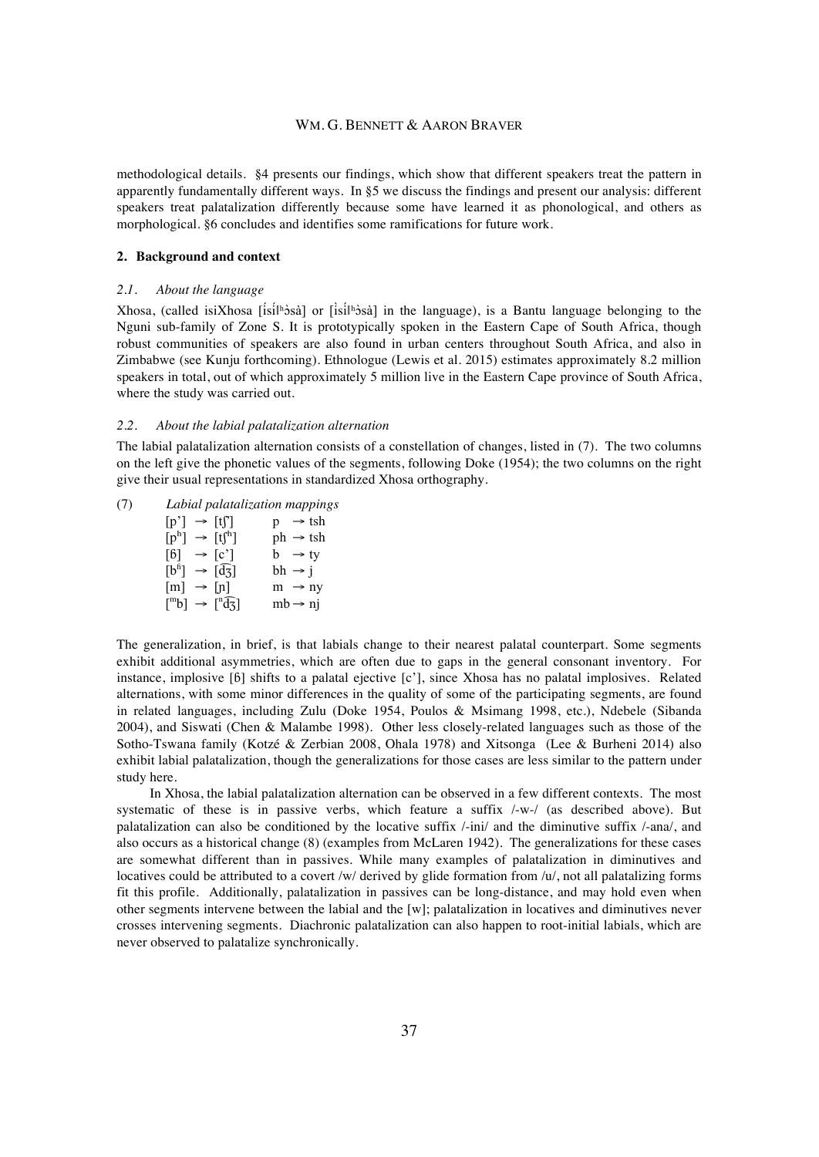methodological details. §4 presents our findings, which show that different speakers treat the pattern in apparently fundamentally different ways. In §5 we discuss the findings and present our analysis: different speakers treat palatalization differently because some have learned it as phonological, and others as morphological. §6 concludes and identifies some ramifications for future work.

### **2. Background and context**

### *2.1. About the language*

Xhosa, (called isiXhosa [ísíǁʰɔ̀ sà] or [ìsíǁʰɔ̀ sà] in the language), is a Bantu language belonging to the Nguni sub-family of Zone S. It is prototypically spoken in the Eastern Cape of South Africa, though robust communities of speakers are also found in urban centers throughout South Africa, and also in Zimbabwe (see Kunju forthcoming). Ethnologue (Lewis et al. 2015) estimates approximately 8.2 million speakers in total, out of which approximately 5 million live in the Eastern Cape province of South Africa, where the study was carried out.

### *2.2. About the labial palatalization alternation*

The labial palatalization alternation consists of a constellation of changes, listed in (7). The two columns on the left give the phonetic values of the segments, following Doke (1954); the two columns on the right give their usual representations in standardized Xhosa orthography.

(7) *Labial palatalization mappings*  $[p'] \rightarrow [tf'] \quad p \rightarrow tsh$  $[p^h] \rightarrow [tf^h]$  ph  $\rightarrow$  tsh  $[6] \rightarrow [c']$  b  $\rightarrow$  ty  $[b^{\text{fi}}] \rightarrow [\widehat{\text{d}z}] \quad \text{bh} \rightarrow j$  $[m] \rightarrow [n]$  m  $\rightarrow$  ny  $\binom{m}{b}$   $\rightarrow$   $\binom{n}{b}$  $mb \rightarrow ni$ 

The generalization, in brief, is that labials change to their nearest palatal counterpart. Some segments exhibit additional asymmetries, which are often due to gaps in the general consonant inventory. For instance, implosive [ɓ] shifts to a palatal ejective [c'], since Xhosa has no palatal implosives. Related alternations, with some minor differences in the quality of some of the participating segments, are found in related languages, including Zulu (Doke 1954, Poulos & Msimang 1998, etc.), Ndebele (Sibanda 2004), and Siswati (Chen & Malambe 1998). Other less closely-related languages such as those of the Sotho-Tswana family (Kotzé & Zerbian 2008, Ohala 1978) and Xitsonga (Lee & Burheni 2014) also exhibit labial palatalization, though the generalizations for those cases are less similar to the pattern under study here.

In Xhosa, the labial palatalization alternation can be observed in a few different contexts. The most systematic of these is in passive verbs, which feature a suffix /-w-/ (as described above). But palatalization can also be conditioned by the locative suffix /-ini/ and the diminutive suffix /-ana/, and also occurs as a historical change (8) (examples from McLaren 1942). The generalizations for these cases are somewhat different than in passives. While many examples of palatalization in diminutives and locatives could be attributed to a covert /w/ derived by glide formation from /u/, not all palatalizing forms fit this profile. Additionally, palatalization in passives can be long-distance, and may hold even when other segments intervene between the labial and the [w]; palatalization in locatives and diminutives never crosses intervening segments. Diachronic palatalization can also happen to root-initial labials, which are never observed to palatalize synchronically.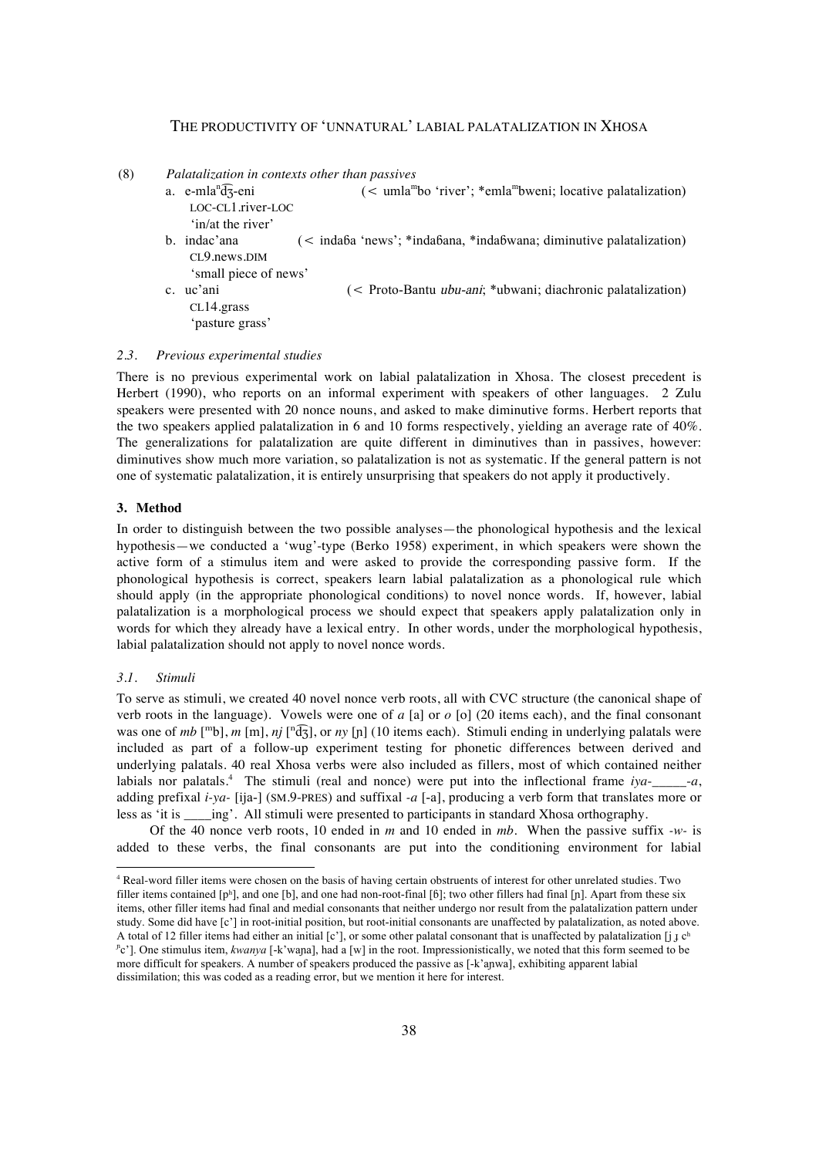(8) *Palatalization in contexts other than passives*

- $a.$  e-mla<sup>n</sup> $\widehat{dz}$ -eni  $\zeta \leq \text{umla}^m$ bo 'river'; \*emla<sup>m</sup>bweni; locative palatalization) LOC-CL1.river-LOC 'in/at the river'
- b. indac'ana (< indaɓa 'news'; \*indaɓana, \*indaɓwana; diminutive palatalization) CL9.news.DIM
- 'small piece of news' c. uc'ani (< Proto-Bantu ubu-ani; \*ubwani; diachronic palatalization) CL14.grass 'pasture grass'

### *2.3. Previous experimental studies*

There is no previous experimental work on labial palatalization in Xhosa. The closest precedent is Herbert (1990), who reports on an informal experiment with speakers of other languages. 2 Zulu speakers were presented with 20 nonce nouns, and asked to make diminutive forms. Herbert reports that the two speakers applied palatalization in 6 and 10 forms respectively, yielding an average rate of 40%. The generalizations for palatalization are quite different in diminutives than in passives, however: diminutives show much more variation, so palatalization is not as systematic. If the general pattern is not one of systematic palatalization, it is entirely unsurprising that speakers do not apply it productively.

### **3. Method**

In order to distinguish between the two possible analyses—the phonological hypothesis and the lexical hypothesis—we conducted a 'wug'-type (Berko 1958) experiment, in which speakers were shown the active form of a stimulus item and were asked to provide the corresponding passive form. If the phonological hypothesis is correct, speakers learn labial palatalization as a phonological rule which should apply (in the appropriate phonological conditions) to novel nonce words. If, however, labial palatalization is a morphological process we should expect that speakers apply palatalization only in words for which they already have a lexical entry. In other words, under the morphological hypothesis, labial palatalization should not apply to novel nonce words.

## *3.1. Stimuli*

To serve as stimuli, we created 40 novel nonce verb roots, all with CVC structure (the canonical shape of verb roots in the language). Vowels were one of *a* [a] or *o* [o] (20 items each), and the final consonant was one of  $mb$  [<sup>m</sup>b],  $m$  [m],  $nj$  [<sup>n</sup>d͡ʒ], or  $ny$  [n] (10 items each). Stimuli ending in underlying palatals were included as part of a follow-up experiment testing for phonetic differences between derived and underlying palatals. 40 real Xhosa verbs were also included as fillers, most of which contained neither labials nor palatals.<sup>4</sup> The stimuli (real and nonce) were put into the inflectional frame *iya*-\_\_\_\_\_\_-*a*, adding prefixal *i-ya-* [ija-] (SM.9-PRES) and suffixal *-a* [-a], producing a verb form that translates more or less as 'it is \_\_\_\_\_\_\_ing'. All stimuli were presented to participants in standard Xhosa orthography.

Of the 40 nonce verb roots, 10 ended in *m* and 10 ended in *mb*. When the passive suffix *-w-* is added to these verbs, the final consonants are put into the conditioning environment for labial

 <sup>4</sup> Real-word filler items were chosen on the basis of having certain obstruents of interest for other unrelated studies. Two filler items contained [pʰ], and one [b], and one had non-root-final [6]; two other fillers had final [p]. Apart from these six items, other filler items had final and medial consonants that neither undergo nor result from the palatalization pattern under study. Some did have [c'] in root-initial position, but root-initial consonants are unaffected by palatalization, as noted above. A total of 12 filler items had either an initial [c'], or some other palatal consonant that is unaffected by palatalization [j  $j$  c<sup>h</sup> <sup>n</sup>c']. One stimulus item, *kwanya* [-k'wana], had a [w] in the root. Impressionistically, we noted that this form seemed to be more difficult for speakers. A number of speakers produced the passive as [-k'aɲwa], exhibiting apparent labial dissimilation; this was coded as a reading error, but we mention it here for interest.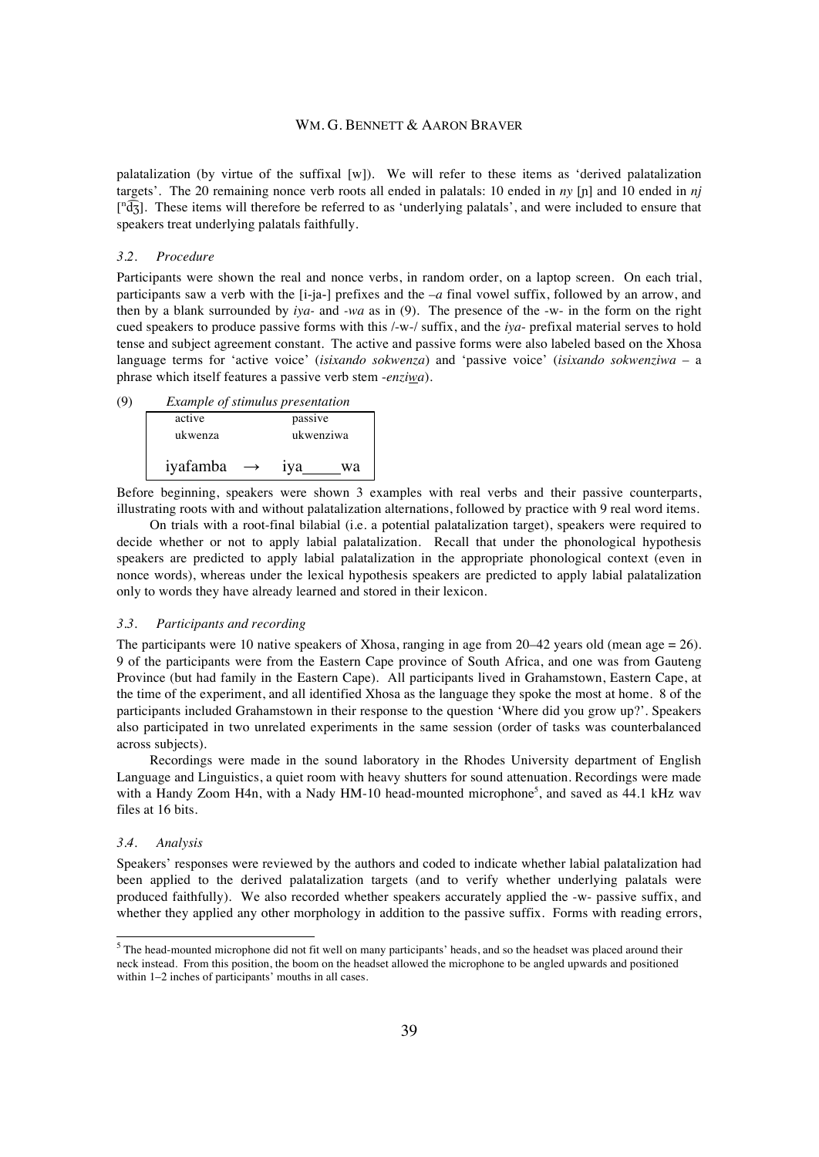palatalization (by virtue of the suffixal [w]). We will refer to these items as 'derived palatalization targets'. The 20 remaining nonce verb roots all ended in palatals: 10 ended in *ny* [ɲ] and 10 ended in *nj*  $\lceil \sqrt[n]{d_3} \rceil$ . These items will therefore be referred to as 'underlying palatals', and were included to ensure that speakers treat underlying palatals faithfully.

#### *3.2. Procedure*

Participants were shown the real and nonce verbs, in random order, on a laptop screen. On each trial, participants saw a verb with the [i-ja-] prefixes and the *–a* final vowel suffix, followed by an arrow, and then by a blank surrounded by *iya-* and *-wa* as in (9). The presence of the -w- in the form on the right cued speakers to produce passive forms with this /-w-/ suffix, and the *iya*- prefixal material serves to hold tense and subject agreement constant. The active and passive forms were also labeled based on the Xhosa language terms for 'active voice' (*isixando sokwenza*) and 'passive voice' (*isixando sokwenziwa* – a phrase which itself features a passive verb stem -*enziwa*).

| (9)    | <i>Example of stimulus presentation</i> |               |                 |           |
|--------|-----------------------------------------|---------------|-----------------|-----------|
| active |                                         | passive       |                 |           |
|        | ukwenza                                 |               |                 | ukwenziwa |
|        | iyafamba                                | $\rightarrow$ | 1V <sub>a</sub> | wа        |

Before beginning, speakers were shown 3 examples with real verbs and their passive counterparts, illustrating roots with and without palatalization alternations, followed by practice with 9 real word items.

On trials with a root-final bilabial (i.e. a potential palatalization target), speakers were required to decide whether or not to apply labial palatalization. Recall that under the phonological hypothesis speakers are predicted to apply labial palatalization in the appropriate phonological context (even in nonce words), whereas under the lexical hypothesis speakers are predicted to apply labial palatalization only to words they have already learned and stored in their lexicon.

#### *3.3. Participants and recording*

The participants were 10 native speakers of Xhosa, ranging in age from 20–42 years old (mean age = 26). 9 of the participants were from the Eastern Cape province of South Africa, and one was from Gauteng Province (but had family in the Eastern Cape). All participants lived in Grahamstown, Eastern Cape, at the time of the experiment, and all identified Xhosa as the language they spoke the most at home. 8 of the participants included Grahamstown in their response to the question 'Where did you grow up?'. Speakers also participated in two unrelated experiments in the same session (order of tasks was counterbalanced across subjects).

Recordings were made in the sound laboratory in the Rhodes University department of English Language and Linguistics, a quiet room with heavy shutters for sound attenuation. Recordings were made with a Handy Zoom H4n, with a Nady HM-10 head-mounted microphone<sup>5</sup>, and saved as 44.1 kHz wav files at 16 bits.

### *3.4. Analysis*

Speakers' responses were reviewed by the authors and coded to indicate whether labial palatalization had been applied to the derived palatalization targets (and to verify whether underlying palatals were produced faithfully). We also recorded whether speakers accurately applied the -w- passive suffix, and whether they applied any other morphology in addition to the passive suffix. Forms with reading errors,

<sup>&</sup>lt;sup>5</sup> The head-mounted microphone did not fit well on many participants' heads, and so the headset was placed around their neck instead. From this position, the boom on the headset allowed the microphone to be angled upwards and positioned within 1–2 inches of participants' mouths in all cases.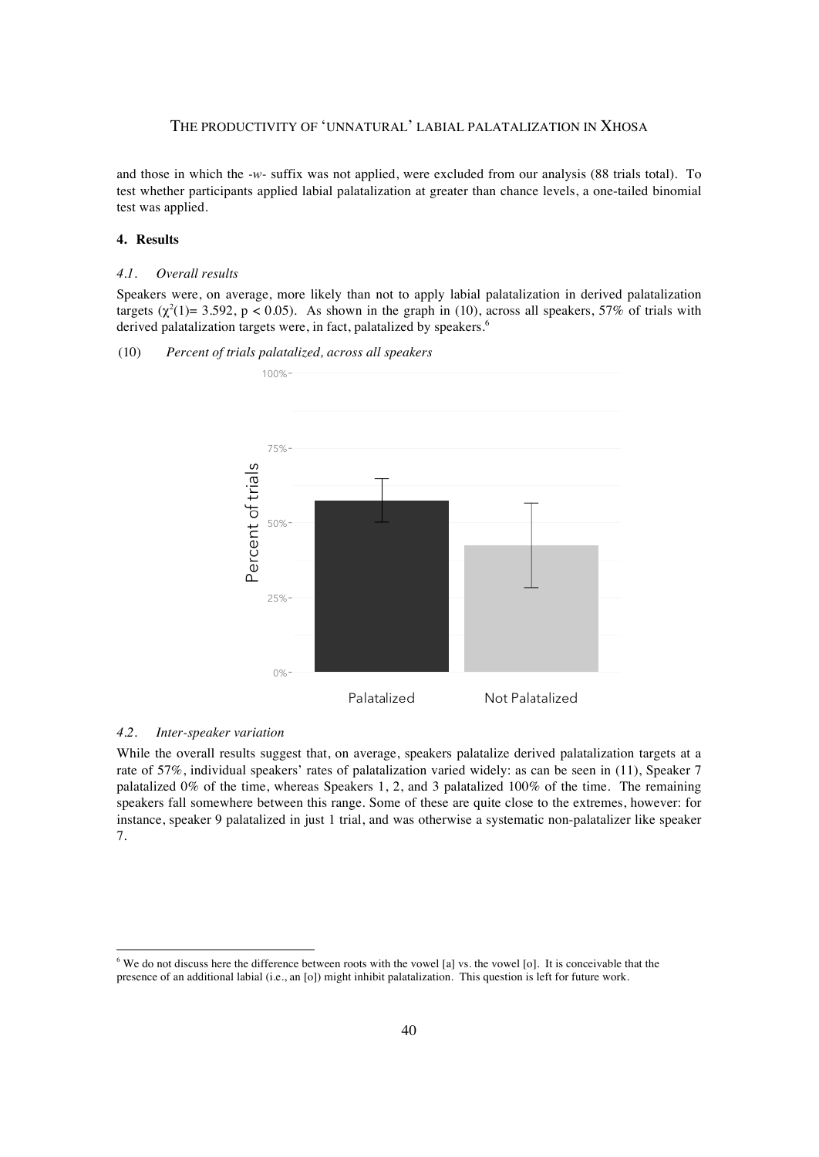and those in which the *-w-* suffix was not applied, were excluded from our analysis (88 trials total). To test whether participants applied labial palatalization at greater than chance levels, a one-tailed binomial test was applied.

## **4. Results**

### *4.1. Overall results*

Speakers were, on average, more likely than not to apply labial palatalization in derived palatalization targets  $(\chi^2(1)=3.592, p < 0.05)$ . As shown in the graph in (10), across all speakers, 57% of trials with derived palatalization targets were, in fact, palatalized by speakers.<sup>6</sup>



### (10) *Percent of trials palatalized, across all speakers*

### *4.2. Inter-speaker variation*

While the overall results suggest that, on average, speakers palatalize derived palatalization targets at a rate of 57%, individual speakers' rates of palatalization varied widely: as can be seen in (11), Speaker 7 palatalized 0% of the time, whereas Speakers 1, 2, and 3 palatalized 100% of the time. The remaining speakers fall somewhere between this range. Some of these are quite close to the extremes, however: for instance, speaker 9 palatalized in just 1 trial, and was otherwise a systematic non-palatalizer like speaker 7.

<sup>&</sup>lt;sup>6</sup> We do not discuss here the difference between roots with the vowel [a] vs. the vowel [o]. It is conceivable that the presence of an additional labial (i.e., an [o]) might inhibit palatalization. This question is left for future work.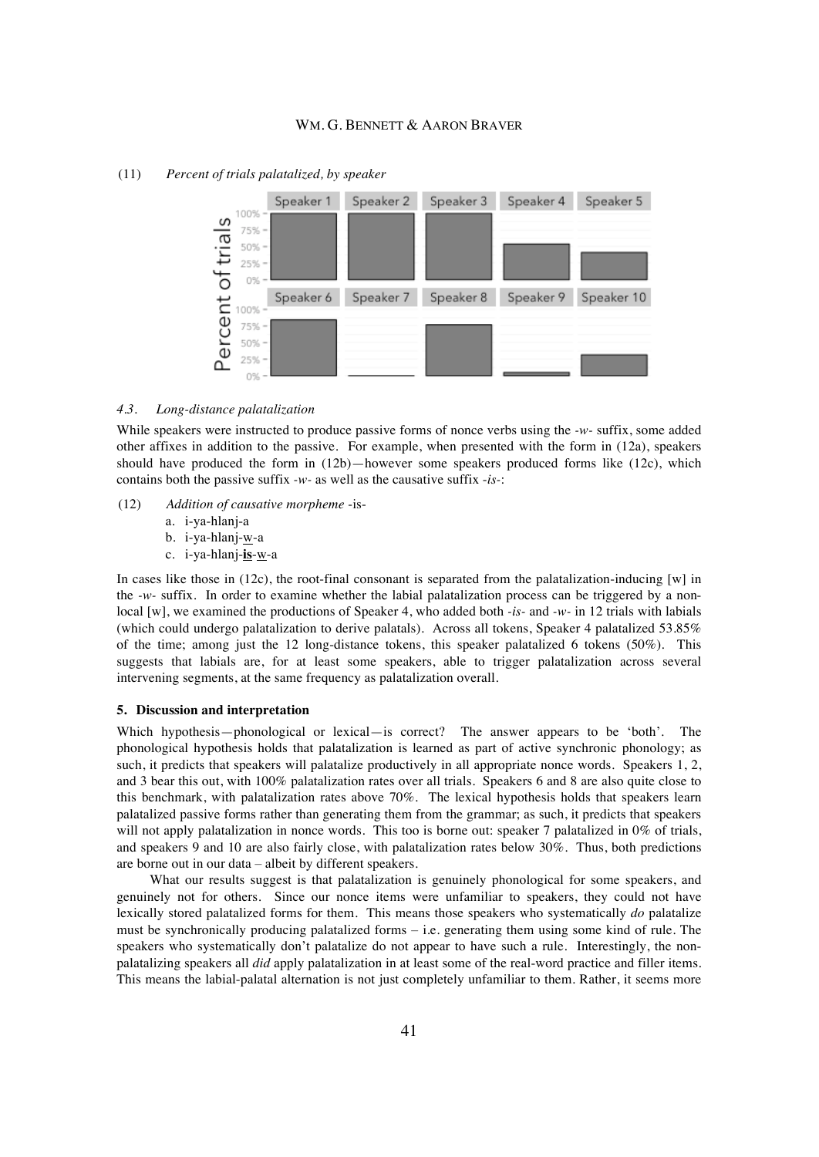

# (11) *Percent of trials palatalized, by speaker*

#### *4.3. Long-distance palatalization*

While speakers were instructed to produce passive forms of nonce verbs using the *-w-* suffix, some added other affixes in addition to the passive. For example, when presented with the form in (12a), speakers should have produced the form in  $(12b)$ —however some speakers produced forms like  $(12c)$ , which contains both the passive suffix *-w-* as well as the causative suffix -*is-*:

- (12) *Addition of causative morpheme* -is
	- a. i-ya-hlanj-a
	- b. i-ya-hlanj-w-a
	- c. i-ya-hlanj-**is**-w-a

In cases like those in  $(12c)$ , the root-final consonant is separated from the palatalization-inducing [w] in the *-w-* suffix. In order to examine whether the labial palatalization process can be triggered by a nonlocal [w], we examined the productions of Speaker 4, who added both *-is-* and *-w-* in 12 trials with labials (which could undergo palatalization to derive palatals). Across all tokens, Speaker 4 palatalized 53.85% of the time; among just the 12 long-distance tokens, this speaker palatalized 6 tokens (50%). This suggests that labials are, for at least some speakers, able to trigger palatalization across several intervening segments, at the same frequency as palatalization overall.

#### **5. Discussion and interpretation**

Which hypothesis—phonological or lexical—is correct? The answer appears to be 'both'. The phonological hypothesis holds that palatalization is learned as part of active synchronic phonology; as such, it predicts that speakers will palatalize productively in all appropriate nonce words. Speakers 1, 2, and 3 bear this out, with 100% palatalization rates over all trials. Speakers 6 and 8 are also quite close to this benchmark, with palatalization rates above 70%. The lexical hypothesis holds that speakers learn palatalized passive forms rather than generating them from the grammar; as such, it predicts that speakers will not apply palatalization in nonce words. This too is borne out: speaker 7 palatalized in 0% of trials, and speakers 9 and 10 are also fairly close, with palatalization rates below 30%. Thus, both predictions are borne out in our data – albeit by different speakers.

What our results suggest is that palatalization is genuinely phonological for some speakers, and genuinely not for others. Since our nonce items were unfamiliar to speakers, they could not have lexically stored palatalized forms for them. This means those speakers who systematically *do* palatalize must be synchronically producing palatalized forms – i.e. generating them using some kind of rule. The speakers who systematically don't palatalize do not appear to have such a rule. Interestingly, the nonpalatalizing speakers all *did* apply palatalization in at least some of the real-word practice and filler items. This means the labial-palatal alternation is not just completely unfamiliar to them. Rather, it seems more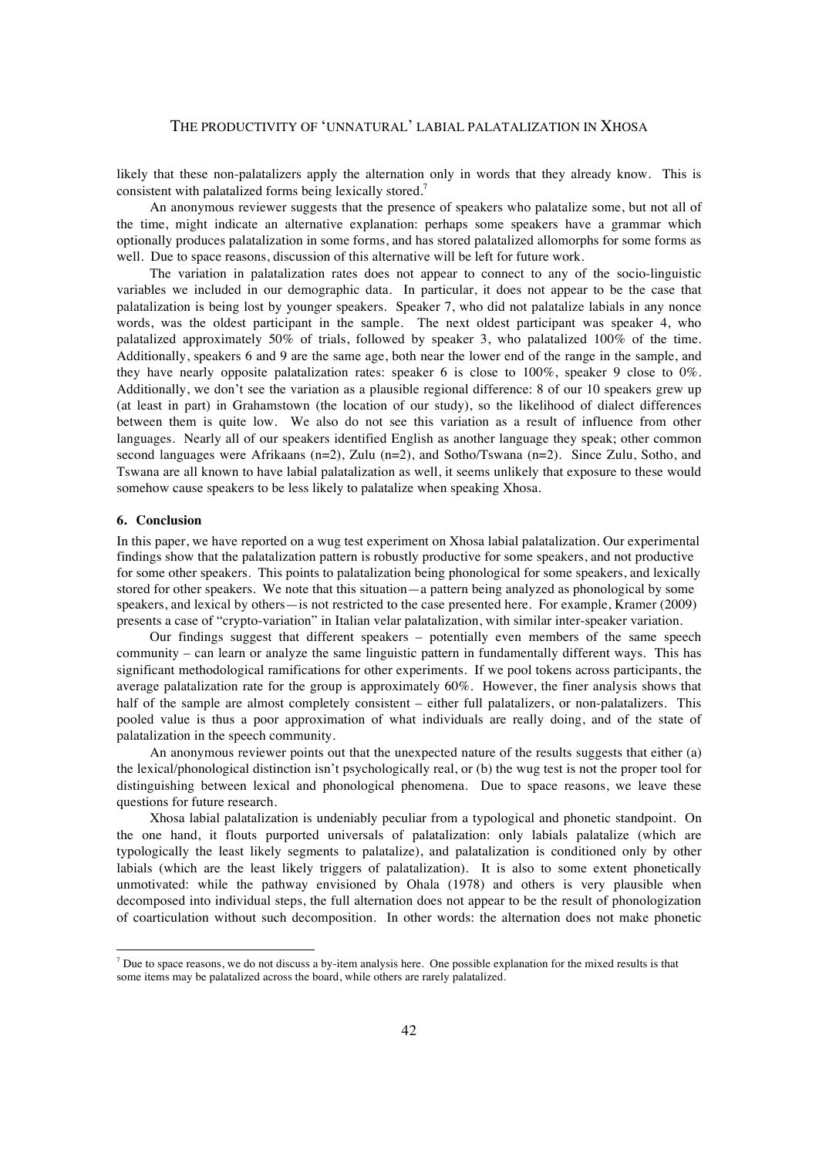likely that these non-palatalizers apply the alternation only in words that they already know. This is consistent with palatalized forms being lexically stored.<sup>7</sup>

An anonymous reviewer suggests that the presence of speakers who palatalize some, but not all of the time, might indicate an alternative explanation: perhaps some speakers have a grammar which optionally produces palatalization in some forms, and has stored palatalized allomorphs for some forms as well. Due to space reasons, discussion of this alternative will be left for future work.

The variation in palatalization rates does not appear to connect to any of the socio-linguistic variables we included in our demographic data. In particular, it does not appear to be the case that palatalization is being lost by younger speakers. Speaker 7, who did not palatalize labials in any nonce words, was the oldest participant in the sample. The next oldest participant was speaker 4, who palatalized approximately 50% of trials, followed by speaker 3, who palatalized 100% of the time. Additionally, speakers 6 and 9 are the same age, both near the lower end of the range in the sample, and they have nearly opposite palatalization rates: speaker 6 is close to  $100\%$ , speaker 9 close to  $0\%$ . Additionally, we don't see the variation as a plausible regional difference: 8 of our 10 speakers grew up (at least in part) in Grahamstown (the location of our study), so the likelihood of dialect differences between them is quite low. We also do not see this variation as a result of influence from other languages. Nearly all of our speakers identified English as another language they speak; other common second languages were Afrikaans  $(n=2)$ , Zulu  $(n=2)$ , and Sotho/Tswana  $(n=2)$ . Since Zulu, Sotho, and Tswana are all known to have labial palatalization as well, it seems unlikely that exposure to these would somehow cause speakers to be less likely to palatalize when speaking Xhosa.

### **6. Conclusion**

In this paper, we have reported on a wug test experiment on Xhosa labial palatalization. Our experimental findings show that the palatalization pattern is robustly productive for some speakers, and not productive for some other speakers. This points to palatalization being phonological for some speakers, and lexically stored for other speakers. We note that this situation—a pattern being analyzed as phonological by some speakers, and lexical by others—is not restricted to the case presented here. For example, Kramer (2009) presents a case of "crypto-variation" in Italian velar palatalization, with similar inter-speaker variation.

Our findings suggest that different speakers – potentially even members of the same speech community – can learn or analyze the same linguistic pattern in fundamentally different ways. This has significant methodological ramifications for other experiments. If we pool tokens across participants, the average palatalization rate for the group is approximately 60%. However, the finer analysis shows that half of the sample are almost completely consistent – either full palatalizers, or non-palatalizers. This pooled value is thus a poor approximation of what individuals are really doing, and of the state of palatalization in the speech community.

An anonymous reviewer points out that the unexpected nature of the results suggests that either (a) the lexical/phonological distinction isn't psychologically real, or (b) the wug test is not the proper tool for distinguishing between lexical and phonological phenomena. Due to space reasons, we leave these questions for future research.

Xhosa labial palatalization is undeniably peculiar from a typological and phonetic standpoint. On the one hand, it flouts purported universals of palatalization: only labials palatalize (which are typologically the least likely segments to palatalize), and palatalization is conditioned only by other labials (which are the least likely triggers of palatalization). It is also to some extent phonetically unmotivated: while the pathway envisioned by Ohala (1978) and others is very plausible when decomposed into individual steps, the full alternation does not appear to be the result of phonologization of coarticulation without such decomposition. In other words: the alternation does not make phonetic

 $<sup>7</sup>$  Due to space reasons, we do not discuss a by-item analysis here. One possible explanation for the mixed results is that</sup> some items may be palatalized across the board, while others are rarely palatalized.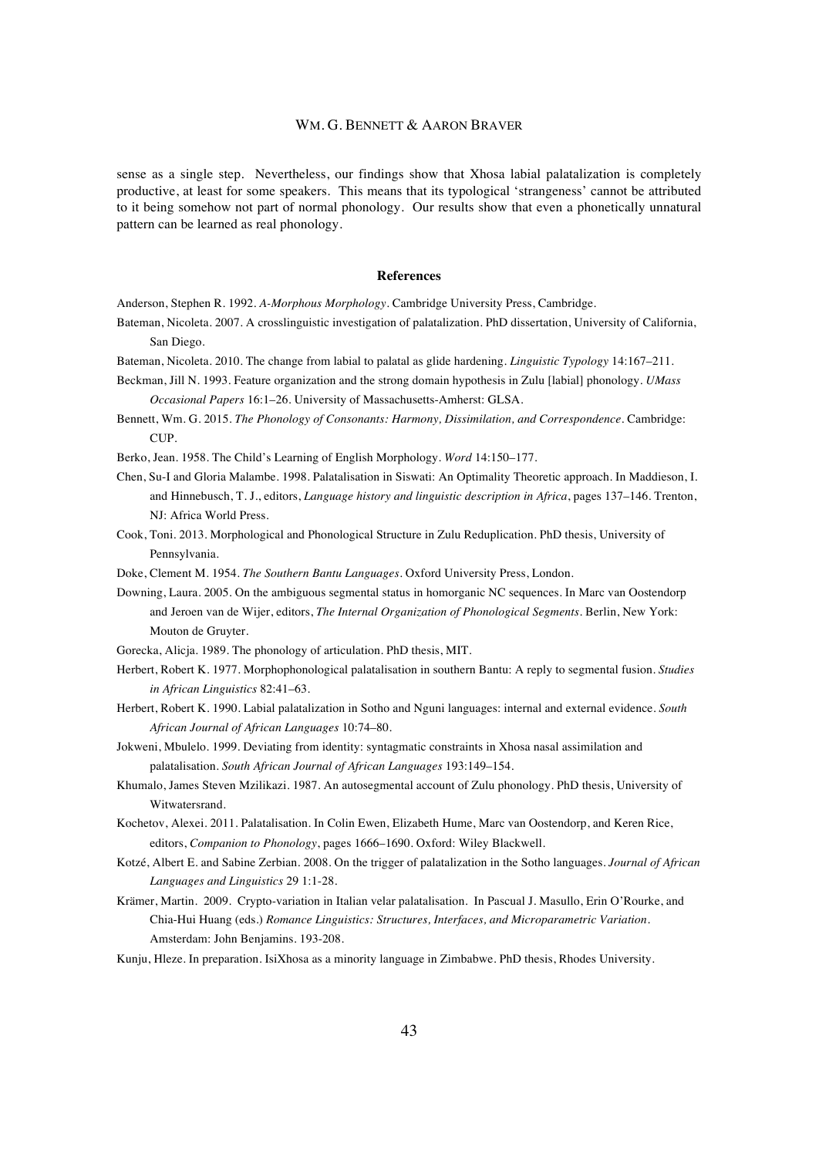sense as a single step. Nevertheless, our findings show that Xhosa labial palatalization is completely productive, at least for some speakers. This means that its typological 'strangeness' cannot be attributed to it being somehow not part of normal phonology. Our results show that even a phonetically unnatural pattern can be learned as real phonology.

#### **References**

Anderson, Stephen R. 1992. *A-Morphous Morphology*. Cambridge University Press, Cambridge.

- Bateman, Nicoleta. 2007. A crosslinguistic investigation of palatalization. PhD dissertation, University of California, San Diego.
- Bateman, Nicoleta. 2010. The change from labial to palatal as glide hardening. *Linguistic Typology* 14:167–211.
- Beckman, Jill N. 1993. Feature organization and the strong domain hypothesis in Zulu [labial] phonology. *UMass Occasional Papers* 16:1–26. University of Massachusetts-Amherst: GLSA.
- Bennett, Wm. G. 2015. *The Phonology of Consonants: Harmony, Dissimilation, and Correspondence*. Cambridge: CUP.
- Berko, Jean. 1958. The Child's Learning of English Morphology. *Word* 14:150–177.
- Chen, Su-I and Gloria Malambe. 1998. Palatalisation in Siswati: An Optimality Theoretic approach. In Maddieson, I. and Hinnebusch, T. J., editors, *Language history and linguistic description in Africa*, pages 137–146. Trenton, NJ: Africa World Press.
- Cook, Toni. 2013. Morphological and Phonological Structure in Zulu Reduplication. PhD thesis, University of Pennsylvania.
- Doke, Clement M. 1954. *The Southern Bantu Languages*. Oxford University Press, London.
- Downing, Laura. 2005. On the ambiguous segmental status in homorganic NC sequences. In Marc van Oostendorp and Jeroen van de Wijer, editors, *The Internal Organization of Phonological Segments*. Berlin, New York: Mouton de Gruyter.
- Gorecka, Alicja. 1989. The phonology of articulation. PhD thesis, MIT.
- Herbert, Robert K. 1977. Morphophonological palatalisation in southern Bantu: A reply to segmental fusion. *Studies in African Linguistics* 82:41–63.
- Herbert, Robert K. 1990. Labial palatalization in Sotho and Nguni languages: internal and external evidence. *South African Journal of African Languages* 10:74–80.
- Jokweni, Mbulelo. 1999. Deviating from identity: syntagmatic constraints in Xhosa nasal assimilation and palatalisation. *South African Journal of African Languages* 193:149–154.
- Khumalo, James Steven Mzilikazi. 1987. An autosegmental account of Zulu phonology. PhD thesis, University of Witwatersrand.
- Kochetov, Alexei. 2011. Palatalisation. In Colin Ewen, Elizabeth Hume, Marc van Oostendorp, and Keren Rice, editors, *Companion to Phonology*, pages 1666–1690. Oxford: Wiley Blackwell.
- Kotzé, Albert E. and Sabine Zerbian. 2008. On the trigger of palatalization in the Sotho languages. *Journal of African Languages and Linguistics* 29 1:1-28.
- Krämer, Martin. 2009. Crypto-variation in Italian velar palatalisation. In Pascual J. Masullo, Erin O'Rourke, and Chia-Hui Huang (eds.) *Romance Linguistics: Structures, Interfaces, and Microparametric Variation*. Amsterdam: John Benjamins. 193-208.
- Kunju, Hleze. In preparation. IsiXhosa as a minority language in Zimbabwe. PhD thesis, Rhodes University.